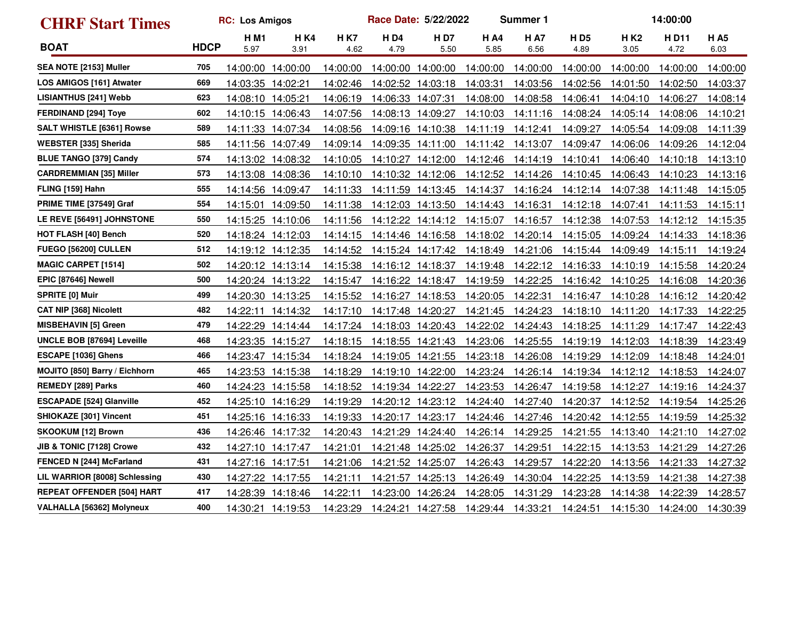| <b>CHRF Start Times</b>              |             | <b>RC: Los Amigos</b> |                     |                    |                    | Race Date: 5/22/2022 | <b>Summer 1</b>     | 14:00:00           |                    |              |               |                    |
|--------------------------------------|-------------|-----------------------|---------------------|--------------------|--------------------|----------------------|---------------------|--------------------|--------------------|--------------|---------------|--------------------|
| <b>BOAT</b>                          | <b>HDCP</b> | <b>HM1</b><br>5.97    | <b>H K4</b><br>3.91 | <b>HK7</b><br>4.62 | <b>HD4</b><br>4.79 | <b>HD7</b><br>5.50   | <b>H A4</b><br>5.85 | <b>HA7</b><br>6.56 | <b>HD5</b><br>4.89 | H K2<br>3.05 | H D11<br>4.72 | <b>HA5</b><br>6.03 |
| SEA NOTE [2153] Muller               | 705         | 14:00:00              | 14:00:00            | 14:00:00           |                    | 14:00:00 14:00:00    | 14:00:00            | 14:00:00           | 14:00:00           | 14:00:00     | 14:00:00      | 14:00:00           |
| LOS AMIGOS [161] Atwater             | 669         | 14:03:35              | 14:02:21            | 14:02:46           |                    | 14:02:52 14:03:18    | 14:03:31            | 14:03:56           | 14:02:56           | 14:01:50     | 14:02:50      | 14:03:37           |
| <b>LISIANTHUS [241] Webb</b>         | 623         | 14:08:10 14:05:21     |                     | 14:06:19           |                    | 14:06:33 14:07:31    | 14:08:00            | 14:08:58           | 14:06:41           | 14:04:10     | 14:06:27      | 14:08:14           |
| <b>FERDINAND [294] Toye</b>          | 602         |                       | 14:10:15 14:06:43   | 14:07:56           |                    | 14:08:13 14:09:27    | 14:10:03            | 14:11:16           | 14:08:24           | 14:05:14     | 14:08:06      | 14:10:21           |
| <b>SALT WHISTLE [6361] Rowse</b>     | 589         |                       | 14:11:33 14:07:34   | 14:08:56           |                    | 14:09:16 14:10:38    | 14:11:19            | 14:12:41           | 14:09:27           | 14:05:54     | 14:09:08      | 14:11:39           |
| <b>WEBSTER [335] Sherida</b>         | 585         | 14:11:56 14:07:49     |                     | 14:09:14           |                    | 14:09:35 14:11:00    | 14:11:42            | 14:13:07           | 14:09:47           | 14:06:06     | 14:09:26      | 14:12:04           |
| <b>BLUE TANGO [379] Candy</b>        | 574         |                       | 14:13:02 14:08:32   | 14:10:05           |                    | 14:10:27 14:12:00    | 14:12:46            | 14:14:19           | 14:10:41           | 14:06:40     | 14:10:18      | 14:13:10           |
| <b>CARDREMMIAN [35] Miller</b>       | 573         |                       | 14:13:08 14:08:36   | 14:10:10           |                    | 14:10:32 14:12:06    | 14:12:52            | 14:14:26           | 14:10:45           | 14:06:43     | 14:10:23      | 14:13:16           |
| FLING [159] Hahn                     | 555         | 14:14:56 14:09:47     |                     | 14:11:33           |                    | 14:11:59 14:13:45    | 14:14:37            | 14:16:24           | 14:12:14           | 14:07:38     | 14:11:48      | 14:15:05           |
| PRIME TIME [37549] Graf              | 554         | 14:15:01              | 14:09:50            | 14:11:38           |                    | 14:12:03 14:13:50    | 14:14:43            | 14:16:31           | 14:12:18           | 14:07:41     | 14:11:53      | 14:15:11           |
| LE REVE [56491] JOHNSTONE            | 550         |                       | 14:15:25 14:10:06   | 14:11:56           |                    | 14:12:22 14:14:12    | 14:15:07            | 14:16:57           | 14:12:38           | 14:07:53     | 14:12:12      | 14:15:35           |
| <b>HOT FLASH [40] Bench</b>          | 520         |                       | 14:18:24 14:12:03   | 14:14:15           |                    | 14:14:46 14:16:58    | 14:18:02            | 14:20:14           | 14:15:05           | 14:09:24     | 14:14:33      | 14:18:36           |
| <b>FUEGO [56200] CULLEN</b>          | 512         |                       | 14:19:12 14:12:35   | 14:14:52           |                    | 14:15:24 14:17:42    | 14:18:49            | 14:21:06           | 14:15:44           | 14:09:49     | 14:15:11      | 14:19:24           |
| <b>MAGIC CARPET [1514]</b>           | 502         |                       | 14:20:12 14:13:14   | 14:15:38           |                    | 14:16:12 14:18:37    | 14:19:48            | 14:22:12           | 14:16:33           | 14:10:19     | 14:15:58      | 14:20:24           |
| EPIC [87646] Newell                  | 500         |                       | 14:20:24 14:13:22   | 14:15:47           |                    | 14:16:22 14:18:47    | 14:19:59            | 14:22:25           | 14:16:42           | 14:10:25     | 14:16:08      | 14:20:36           |
| <b>SPRITE [0] Muir</b>               | 499         |                       | 14:20:30 14:13:25   | 14:15:52           |                    | 14:16:27 14:18:53    | 14:20:05            | 14:22:31           | 14:16:47           | 14:10:28     | 14:16:12      | 14:20:42           |
| <b>CAT NIP [368] Nicolett</b>        | 482         |                       | 14:22:11 14:14:32   | 14:17:10           |                    | 14:17:48 14:20:27    | 14:21:45            | 14:24:23           | 14:18:10           | 14:11:20     | 14:17:33      | 14:22:25           |
| <b>MISBEHAVIN [5] Green</b>          | 479         |                       | 14:22:29 14:14:44   | 14:17:24           |                    | 14:18:03 14:20:43    | 14:22:02            | 14:24:43           | 14:18:25           | 14:11:29     | 14:17:47      | 14:22:43           |
| UNCLE BOB [87694] Leveille           | 468         | 14:23:35 14:15:27     |                     | 14:18:15           |                    | 14:18:55 14:21:43    | 14:23:06            | 14:25:55           | 14:19:19           | 14:12:03     | 14:18:39      | 14:23:49           |
| ESCAPE [1036] Ghens                  | 466         |                       | 14:23:47 14:15:34   | 14:18:24           |                    | 14:19:05 14:21:55    | 14:23:18            | 14:26:08           | 14:19:29           | 14:12:09     | 14:18:48      | 14:24:01           |
| <b>MOJITO [850] Barry / Eichhorn</b> | 465         |                       | 14:23:53 14:15:38   | 14:18:29           |                    | 14:19:10 14:22:00    | 14:23:24            | 14:26:14           | 14:19:34           | 14:12:12     | 14:18:53      | 14:24:07           |
| <b>REMEDY [289] Parks</b>            | 460         | 14:24:23 14:15:58     |                     | 14:18:52           |                    | 14:19:34 14:22:27    | 14:23:53            | 14:26:47           | 14:19:58           | 14:12:27     | 14:19:16      | 14:24:37           |
| <b>ESCAPADE [524] Glanville</b>      | 452         |                       | 14:25:10 14:16:29   | 14:19:29           |                    | 14:20:12 14:23:12    | 14:24:40            | 14:27:40           | 14:20:37           | 14:12:52     | 14:19:54      | 14:25:26           |
| SHIOKAZE [301] Vincent               | 451         |                       | 14:25:16 14:16:33   | 14:19:33           |                    | 14:20:17 14:23:17    | 14:24:46            | 14:27:46           | 14:20:42           | 14:12:55     | 14:19:59      | 14:25:32           |
| <b>SKOOKUM [12] Brown</b>            | 436         |                       | 14:26:46 14:17:32   | 14:20:43           |                    | 14:21:29 14:24:40    | 14:26:14            | 14:29:25           | 14:21:55           | 14:13:40     | 14:21:10      | 14:27:02           |
| JIB & TONIC [7128] Crowe             | 432         | 14:27:10 14:17:47     |                     | 14:21:01           |                    | 14:21:48 14:25:02    | 14:26:37            | 14:29:51           | 14:22:15           | 14:13:53     | 14:21:29      | 14:27:26           |
| <b>FENCED N [244] McFarland</b>      | 431         | 14:27:16 14:17:51     |                     | 14:21:06           |                    | 14:21:52 14:25:07    | 14:26:43            | 14:29:57           | 14:22:20           | 14:13:56     | 14:21:33      | 14:27:32           |
| LIL WARRIOR [8008] Schlessing        | 430         | 14:27:22 14:17:55     |                     | 14:21:11           |                    | 14:21:57 14:25:13    | 14:26:49            | 14:30:04           | 14:22:25           | 14:13:59     | 14:21:38      | 14:27:38           |
| <b>REPEAT OFFENDER [504] HART</b>    | 417         |                       | 14:28:39 14:18:46   | 14:22:11           |                    | 14:23:00 14:26:24    | 14:28:05            | 14:31:29           | 14:23:28           | 14:14:38     | 14:22:39      | 14:28:57           |
| VALHALLA [56362] Molyneux            | 400         | 14:30:21 14:19:53     |                     | 14:23:29           |                    | 14:24:21 14:27:58    | 14:29:44  14:33:21  |                    | 14:24:51           | 14:15:30     | 14:24:00      | 14:30:39           |